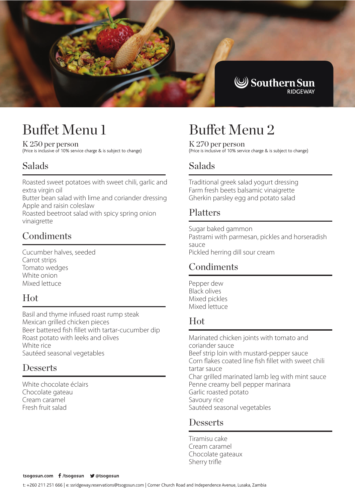

# Buffet Menu 1

K 250 per person (Price is inclusive of 10% service charge & is subject to change)

# Salads

Roasted sweet potatoes with sweet chili, garlic and extra virgin oil

Butter bean salad with lime and coriander dressing Apple and raisin coleslaw

Roasted beetroot salad with spicy spring onion vinaigrette

# **Condiments**

Cucumber halves, seeded Carrot strips Tomato wedges White onion Mixed lettuce

### Hot

Basil and thyme infused roast rump steak Mexican grilled chicken pieces Beer battered fish fillet with tartar-cucumber dip Roast potato with leeks and olives White rice Sautéed seasonal vegetables

### **Desserts**

White chocolate éclairs Chocolate gateau Cream caramel Fresh fruit salad

# Buffet Menu 2

K 270 per person (Price is inclusive of 10% service charge & is subject to change)

## Salads

Traditional greek salad yogurt dressing Farm fresh beets balsamic vinaigrette Gherkin parsley egg and potato salad

### Platters

Sugar baked gammon Pastrami with parmesan, pickles and horseradish sauce Pickled herring dill sour cream

# **Condiments**

Pepper dew Black olives Mixed pickles Mixed lettuce

#### J Hot

Marinated chicken joints with tomato and coriander sauce Beef strip loin with mustard-pepper sauce Corn flakes coated line fish fillet with sweet chili tartar sauce Char grilled marinated lamb leg with mint sauce Penne creamy bell pepper marinara Garlic roasted potato Savoury rice Sautéed seasonal vegetables

### **Desserts**

Tiramisu cake Cream caramel Chocolate gateaux Sherry trifle